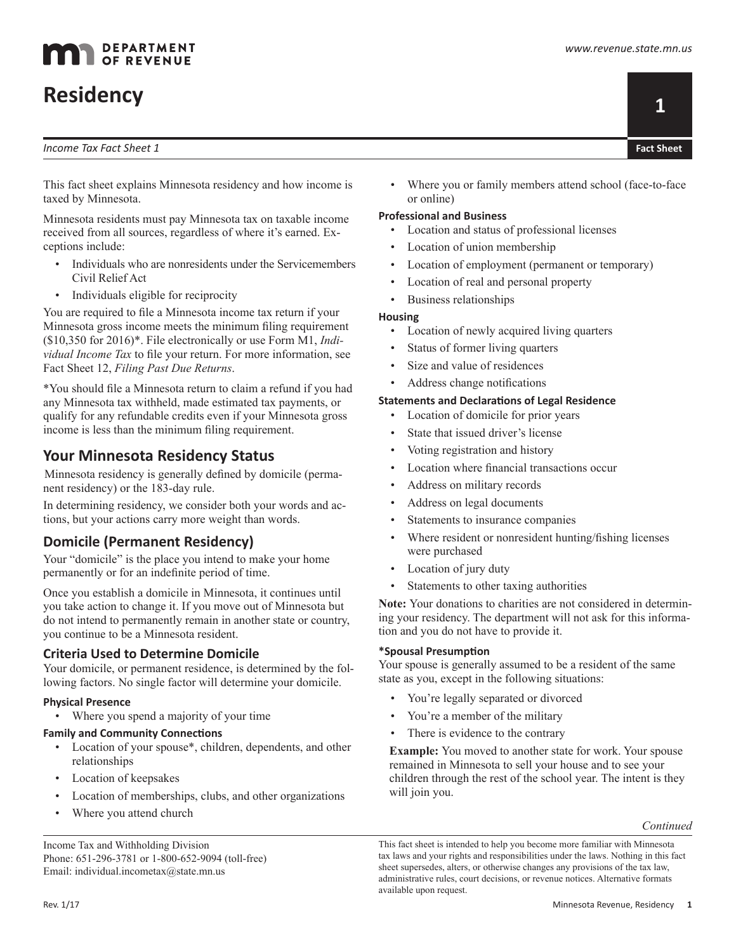# **Residency**

#### *Income Tax Fact Sheet 1*



This fact sheet explains Minnesota residency and how income is taxed by Minnesota.

Minnesota residents must pay Minnesota tax on taxable income received from all sources, regardless of where it's earned. Exceptions include:

- Individuals who are nonresidents under the Servicemembers Civil Relief Act
- Individuals eligible for reciprocity

You are required to file a Minnesota income tax return if your Minnesota gross income meets the minimum filing requirement (\$10,350 for 2016)\*. File electronically or use Form M1, *Individual Income Tax* to file your return. For more information, see Fact Sheet 12, *Filing Past Due Returns*.

\*You should file a Minnesota return to claim a refund if you had any Minnesota tax withheld, made estimated tax payments, or qualify for any refundable credits even if your Minnesota gross income is less than the minimum filing requirement.

# **Your Minnesota Residency Status**

Minnesota residency is generally defined by domicile (permanent residency) or the 183-day rule.

In determining residency, we consider both your words and actions, but your actions carry more weight than words.

# **Domicile (Permanent Residency)**

Your "domicile" is the place you intend to make your home permanently or for an indefinite period of time.

Once you establish a domicile in Minnesota, it continues until you take action to change it. If you move out of Minnesota but do not intend to permanently remain in another state or country, you continue to be a Minnesota resident.

# **Criteria Used to Determine Domicile**

Your domicile, or permanent residence, is determined by the following factors. No single factor will determine your domicile.

### **Physical Presence**

• Where you spend a majority of your time

# **Family and Community Connections**

- Location of your spouse\*, children, dependents, and other relationships
- Location of keepsakes
- Location of memberships, clubs, and other organizations
- Where you attend church

Income Tax and Withholding Division Phone: 651-296-3781 or 1-800-652-9094 (toll-free) Email: individual.incometax@state.mn.us

Where you or family members attend school (face-to-face or online)

## **Professional and Business**

- Location and status of professional licenses
- Location of union membership
- Location of employment (permanent or temporary)
- Location of real and personal property
- Business relationships

## **Housing**

- Location of newly acquired living quarters
- Status of former living quarters
- Size and value of residences
- Address change notifications

## **Statements and Declarations of Legal Residence**

- Location of domicile for prior years
- State that issued driver's license
- Voting registration and history
- Location where financial transactions occur
- Address on military records
- Address on legal documents
- Statements to insurance companies
- Where resident or nonresident hunting/fishing licenses were purchased
- Location of jury duty
- Statements to other taxing authorities

**Note:** Your donations to charities are not considered in determining your residency. The department will not ask for this information and you do not have to provide it.

### **\*Spousal Presumption**

Your spouse is generally assumed to be a resident of the same state as you, except in the following situations:

- You're legally separated or divorced
- You're a member of the military
- There is evidence to the contrary

**Example:** You moved to another state for work. Your spouse remained in Minnesota to sell your house and to see your children through the rest of the school year. The intent is they will join you.

*Continued*

This fact sheet is intended to help you become more familiar with Minnesota tax laws and your rights and responsibilities under the laws. Nothing in this fact sheet supersedes, alters, or otherwise changes any provisions of the tax law, administrative rules, court decisions, or revenue notices. Alternative formats available upon request.